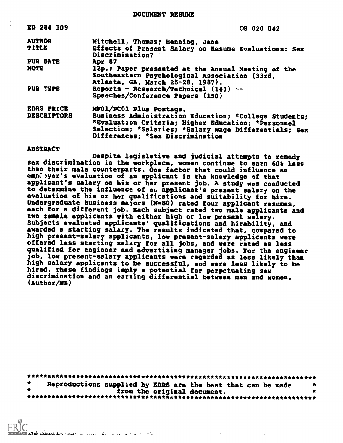DOCUMENT RESUME

| CG 020 042                                                                                                                                                                                               |
|----------------------------------------------------------------------------------------------------------------------------------------------------------------------------------------------------------|
| Mitchell, Thomas; Henning, Jane                                                                                                                                                                          |
| Effects of Present Salary on Resume Evaluations: Sex<br>Discrimination?                                                                                                                                  |
| Apr 87                                                                                                                                                                                                   |
| 12p.; Paper presented at the Annual Meeting of the<br>Southeastern Psychological Association (33rd,<br>Atlanta, GA, March 25-28, 1987).                                                                  |
| Reports - Research/Technical (143) --<br>Speeches/Conference Papers (150)                                                                                                                                |
| NF01/PC01 Plus Postage.                                                                                                                                                                                  |
| Business Administration Education; *College Students;<br>*Evaluation Criteria; Higher Education; *Personnel<br>Selection; *Salaries; *Salary Wage Differentials; Sex<br>Differences; *Sex Discrimination |
|                                                                                                                                                                                                          |

### ABSTRACT

Despite legislative and judicial attempts to remedy sex discrimination in the workplace, women continue to earn 60% less than their male counterparts. One factor that could influence an emp: yer's evaluation of an applicant is the knowledge of that applicant's salary on his or her present job. A study was conducted to determine the influence of au applicant's present salary on the evaluation of his or her qualifications and suitability for hire. Undergraduate business majors (N=80) rated four applicant resumes, each for a different job. Each subject rated two male applicants and two female applicants with either high or low present salary. Subjects evaluated applicants' qualifications and hirability, and awarded a starting salary. The results indicated that, compared to high present-salary applicants, low present-salary applicants were offered less starting salary for all jobs, and were rated as less qualified for engineer and advertising manager jobs. For the engineer job, low present-salary applicants were regarded as less likely than high salary applicants to be successful, and were less likely to be hired. These findings imply a potential for perpetuating sex discrimination and an earning differential between men and women. (Author/NB)

\*\*\*\*\*\*\*\*\*\*\*\*\*\*\*\*\*\*\*\*\*\*\*\*\*\*\*\*\*\*\*\*\*\*\*\*\*\*\*\*\*\*\*\*\*\*\*\*\*\*\*\*\*\*\*\*\*\*\*\*\*\*\*\*\*\*\*\*\*\*\* Reproductions supplied by EDRS are the best that can be made  $*$ <br>from the original document. from the original document. \*\*\*\*\*\*\*\*\*\*\*\*\*\*\*\*\*\*\*\*\*\*\*\*\*\*\*\*\*\*\*\*\*\*\*\*\*\*\*\*\*\*\*\*\*\*\*\*\*\*\*\*\*\*\*\*\*\*\*\*\*\*\*\*\*\*\*\*\*\*\*

A LENERAL LONDON SANDO DE ESTADO DE LA CONSTRUITION DE LA CONSTRUITION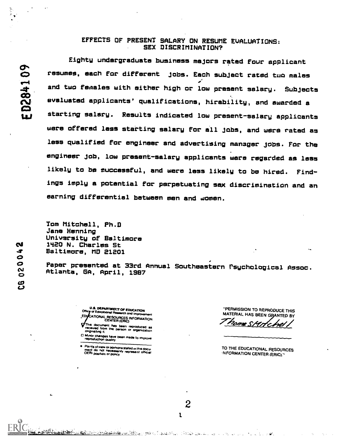# EFFECTS OF PRESENT SALARY ON RESUME EVALUATIONS: SEX DISCRIMINATION?

Eighty undergraduate business majors rated four applicant resumes, each for different jobs. Each subject rated tuo males and two females with either high or low present salary. Subjects  $\boldsymbol{\alpha}$   $\boldsymbol{\beta}$  $\tilde{\mathbf{Q}}$  evaluated applicants' qualifications, hirability, and awarded a starting salary. Results indicated low present-salary applicants were offered less starting salary for all jobs, and were rated as less qualified for engineer and advertising manager jobs. For the engineer job, low present-salary applicants were regarded as less likely to be successful, and were less likely to be hired. Findings imply a potential for perpetuating sex discrimination and an earning differential between men and women.

Tom Mitchell, Ph.D Jane Henning University of Baltimore Cd 1420 N. Charles St

de Saltimore, MD 21201<br>
C Paper presented at :<br>
C Atlanta, GA, April, Paper presented at 33rd Annual Southeastern Psychological Assoc.<br>Atlanta, GA, April, 1987

1

<u>State alban an Islam (</u> which is a state of the Canon of the

2

U.S. DEPARTMENT OF EDUCATION<br>y of Educational Research and Improver Office **UTICY OF Educational Research and Improvement**<br>EDUCATIONAL RESOLIDERS INFORMATION TIONAL RESOURCES INFORMATION CENTER (ERIC)

This document has been reproduced as<br>received from the person or organization<br>originating it

e - Points of view or opinions stated in this docu-<br>ment do not inecessarily represent official<br>OERI position or policy

"PERMISSION TO REPRODUCE THIS MATERIAL HAS BEEN GRANTED BY

 $chel/$ nome S.

TO THE EDUCATIONAL RESOURCES 'N FORMATION CENTER (ERIC)."

 $\mathcal{L}$ 

Sierra Ba

The Minor changes have been made to improve<br>reproduction quality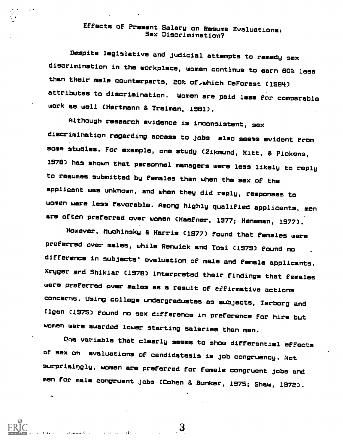# Effects of Present Salary on Resume Evaluations: Sex Discrimination?

Despite legislative and judicial attempts to remedy sex discrimination in the workplace, women continue to earn 60% less than their male counterparts, 20% of.which DeForest (1984) attributes to discrimination. Women are paid lass for comparable work as well CHartmann & Treiman, 1981).

Although research evidence is inconsistent, sex discrimination regarding access to jobs also seems evident from some studies. For example, one study (Zikmund, Hitt, & Pickens, 1978) has shown that personnel managers were less likely to reply to resumes submitted by females than when the sex of the applicant was unknown, and when they did reply, responses to women were less favorable. Among highly qualified applicants, men are often preferred over women (Haefner, 1977; Heneman, 1977).

However, Muchinsky & Harris (1977) found that females were preferred over males, while Renwick and Tosi C19793 found no difference in subjects' evaluation of male and female applicants. Kryger and Shikiar (1978) interpreted their findings that females were preferred over males as a result of refirmative actions concerns. Using college undergraduates as subjects, Terborg and Ilgen C1S7S) found no sex difference in preference For hire but women were awarded lower starting salaries than men.

Qne variable that clearly seems to show differential effects of sex on evaluations of candidatesis is job congruency. Not surprisingly, women are preferred for female congruent jobs and men for male congruent jobs (Cohen & Bunker, 1975; Shaw, 1972).

 $\bf{3}$ 

Land Composite the Common of the Common Section of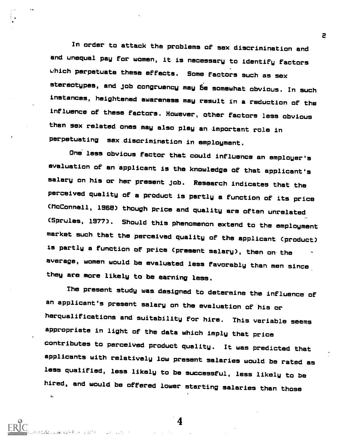In order to attack the problems of sex discrimination and and unequal pay for women, it is necessary to identify factors which perpetuate these effects. Some factors such as sex stereotypes, and job congruency may be somewhat obvious. In such instances, heightened awareness may result in a reduction of the influence of these factors. However, other factors less obvious than sex related ones may also play an .important role in perpetuating sex discrimination in employment.

One less obvious factor that could influence an employer's evaluation of an applicant is the knowledge of that applicant's salary on his or her present job. Research indicates that the perceived quality of a product is partly a function of its price (McConnell, 1988) though price and quality are often unrelated (Sprules, 1977). Should this phenomenon extend to the employment market such that the perceived quality of the applicant Cproduct) is partly a function of price (present salary), then on the average, women would be evaluated less favorably than men since they are more likely to be earning less.

The present study was designed to determine the influence of an applicant's present salary on the evaluation oE his or herqualifications and suitability for hire. This variable seems appropriate in light of the data which imply that price contributes to perceived product quality. It was predicted that applicants with relatively low present salaries would be rated as less qualified, less likely to be successful, less likely to be hired, and would be offered lower starting salaries than those

4

Ł.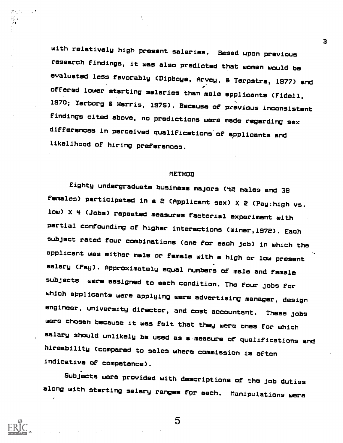with relatively high present salaries. Based upon previous research findings, it was also predicted that women would be evaluated less favorably (Dipboye, Arvey, & Terpstra, 1977) and offered lower starting salaries than male applicants (Fidell, 1970; Terborg 8. Harris, 1975). Because of previous inconsistent findings cited above, no predictions were made regarding sex differences in perceived qualifications-of applicants and likelihood of hiring preferences.

3

## METHOD

Eighty undergraduate business majors (42 males and 38 females) participated in a 2 (Applicant sex) X 2 (Pay:high vs. low) X 4 (Jobs) repeated measures factorial experiment with partial confounding of higher interactions (Winer,1972). Each subject rated four combinations (one for each job) in which the applicant was either male or female with a high or low present salary (Pay). Approximately equal numbers of male and female subjects were assigned to each condition. The four jobs for which applicants were applying were advertising manager, design engineer, university director, and cost accountant. These jobs were chosen because it was Felt that they were ones for which salary should unlikely be used as a-measure of qualifications and hireability (compared to sales where commission is often indicative of competence).

Subjects were provided with descriptions of the job duties along with starting salary ranges for each. Manipulations were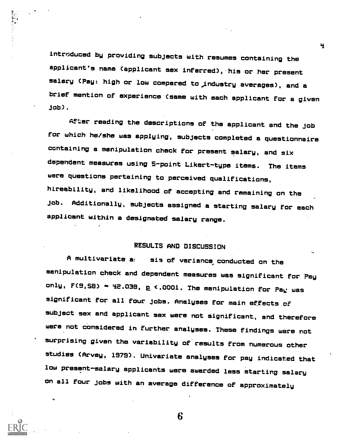introduced by providing subjects with resumes containing the applicant's name (applicant sex inferred), his or her present salary (Pay: high or low compared to industry averages), and a brief mention of experience (same with each applicant for a given job).

After reading the descriptions of the applicant and the job for which he/she was applying, subjects completed a questionnaire containing a manipulation check for present salary, and six dependent measures using S-point Likert-type items. The items were questions pertaining to perceived qualifications, hireability, and likelihood of accepting and remaining on the job. Additionally, subjects assigned a starting salary for each applicant within a designated salary range.

## RESULTS AND DISCUSSION

A multivariate a! sis of variance, conducted on the manipulation check and dependent measures was significant for Pay only,  $F(9,58)$  = 42.038,  $p \le .0001$ . The manipulation for Pay was significant for all Four jobs. Analyses for main effects of subject sex and applicant sex were not significant, and therefore were not considered in Further analyses. These findings were not surprising given the variability of results from numerous other studies (Arvey, 1979). Univariate analyses for pay indicated that low present-salary applicants were awarded lass starting salary on all four jobs with an average difference of approximately

4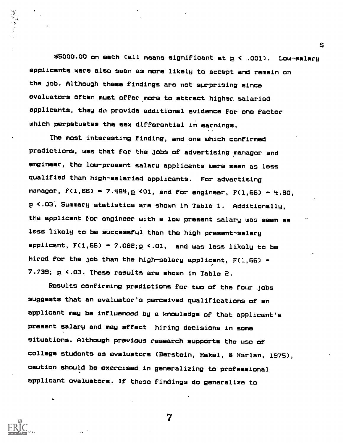\$5000.00 on each (all means significant at  $p \le .001$ ). Low-salary applicants were also seen as more likely to accept and remain on the job. Although these findings are not surprising since evaluators often must offer more to attract higher salaried applicants, they do provide additional evidence for one factor which perpetuates the sex differential in earnings.

The most interesting finding, and one which confirmed predictions, was that for the jobs of advertising manager and engineer, the low-present salary applicants were seen as less qualified than high-salaried applicants. For advertising manager,  $F(1,66)$  -  $7.484, p 01$ , and for engineer,  $F(1,66)$  -  $4.80$ , 2 <.03. Summary statistics are shown in Table 1. Additionally, the applicant for engineer with a low present salary was seen as less likely to be successful than the high present-salary applicant,  $F(1,66) - 7.082; p \lt.01$ , and was less likely to be hired for the job than the high-salary applicant,  $F(1,66)$  -7.739; p <. 03. These results are shown in Table 2.

Results confirming predictions for two of the four jobs suggests that an evaluator's perceived qualifications of an applicant may be influenced by a knowledge of that applicant's present salary and may affect hiring decisions in some situations. Although previous research supports the use of college students as evaluators (Berstein, Hakel, & Harlan, 1975), caution should be exercised in generalizing to professional applicant evaluators. If these findings do generalize to

7

S.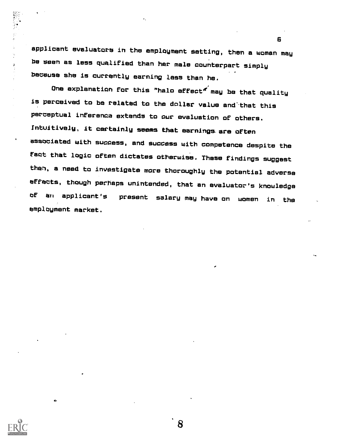applicant evaluators in the employment setting, then a woman may be seen as less qualified than her male counterpart simply because she is currently earning less than he.

6

One explanation for this "halo effect" may be that quality is perceived to be related to the dollar value and that this perceptual inference extends to our evaluation of others. Intuitively, it certainly seems that earnings.are often associated with success, and success with competence despite the fact that logic often dictates otherwise. These findings suggest then), a need to investigate more thoroughly the potential adverse effects, though perhaps unintended, that an evaluator's knowledge of an applicant's present salary may have on women in the employment market.



海外 おかしき ロー

 $\ddot{x}$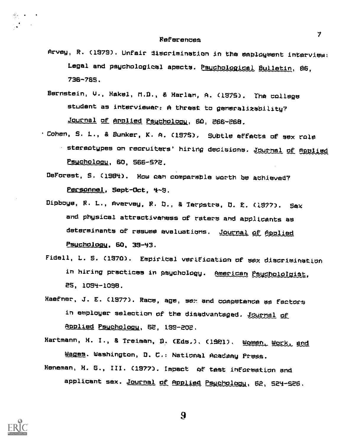#### References

- Arvey, R. (1979). Unfair discrimination in the employment interview: Legal and psychological apects. Psychological gulletin, 86, 736-76S.
- Bernstein, U., Hakel, M.D., & Harlan, A. (1975). The college student as interviewer: A threat to generalizability? Journal of Applied Paychology, 60, 266-268.
- . Cohen, S. L., & Bunker, K. A. (1975). Subtle effects of sex role stereotypes on recruiters' hiring decisions. Journal of egalied Psuchologu, so, 5e6-57e.
	- DeForest, S. (1984). How can comparable worth be achieved? Personnel, Sept-Oct, 4~9.
	- Dipboye, R. L., Avervey, R. D., & Tarpstra, D. E. (1977). Sax and physical attractiveness of raters and applivents as determinants of resume evaluations. Journal of Applied Psuchologu, 60, 39-43.
	- Fidell, L. S. (1970). Empirical verification of sex discrimination in hiring practices in psychology. American Paychololoiat, 25, 1094-1.096.
- Haefner, J. E. (1977). Race, age, sex and competanca as factors in employer selection of the disadvantaged. Journal of Applied Psuchology, 6E, tss-eoe.

Hartmann, H. I., & Treiman, D. (Eds.), (1981). Women, Work, and Wages. Washington, D. C.: National Acadamy Press.

Heneman, H. 6., III. (1977). Impact of test information and applicant sex. Journal of Applied Psycholqpq, 5a, S24-526.



9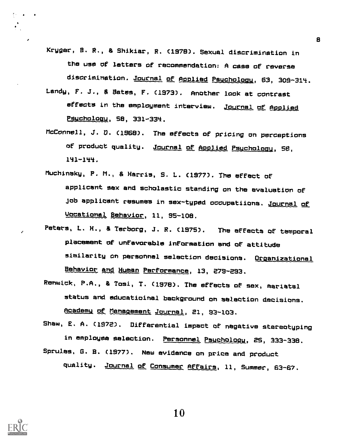Kruger, B. R., & Shikiar, R. (1978). Sexual discrimination in the use of letters of recommendation: A case of reverse discrimination. Journal of Applied Psychology, 63, 308-314.

- Landy, F. J., & Sates, F. (1973). Another look at contrast effects in the employment interview. Journal of Applied Psuchology, 58, 331-334.
- McConnell, J. D. (1968). The effects of pricing on perceptions of product quality. Journal of Applied psychology, 58, 141-144.
- Muchinsky, P. M., & Harris, S. L. (1977). The effect of applicant sex and scholastic standing on the evaluation of job applicant resumes in sex-typed occupatiions. Journal of Uocationa1 Behavior, 11, 95-108.
- Peters, L. H., & Terborg, J. R. (1975). The effects of temporal placement of unfavorable information and of attitude similarity on personnel selection decisions. Organizational Behavior and Human Performance, 13, 279-293.
- Renwick, P.A., & Tosi, T. (1578). The effects of sex, mariatal status and educatioinal background on selection decisions. Academu of Management Journal, 21, 93-103.
- Shaw, E. A. (197e). Differential impact of negative stereotyping in employee selection. Personnel Psuchology, 25, 333-338. Sprules, 6. B. (1677). New evidence on price and product

quality. Journal of Consumer Affairs, 11, Summer, 63-67.



10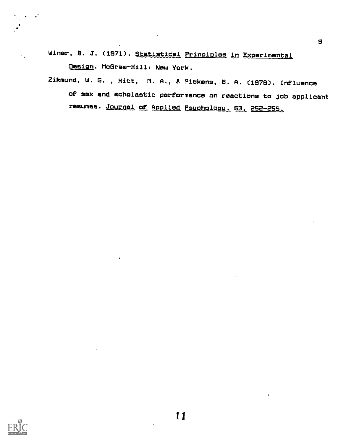Winer, B. J. (1971). Statistical Principles in Experimental

Design. McGraw-Hill: New York.

 $\mathbf{r}$ 

Zikmund, W. G., Hitt, M. A., & Pickens, B. A. (1978). Influence or sex and scholastic performance on reactions to job applicant resumes. Journal of Applied Psuchologu. 2S2-2SS.



 $\mathbf{r}$